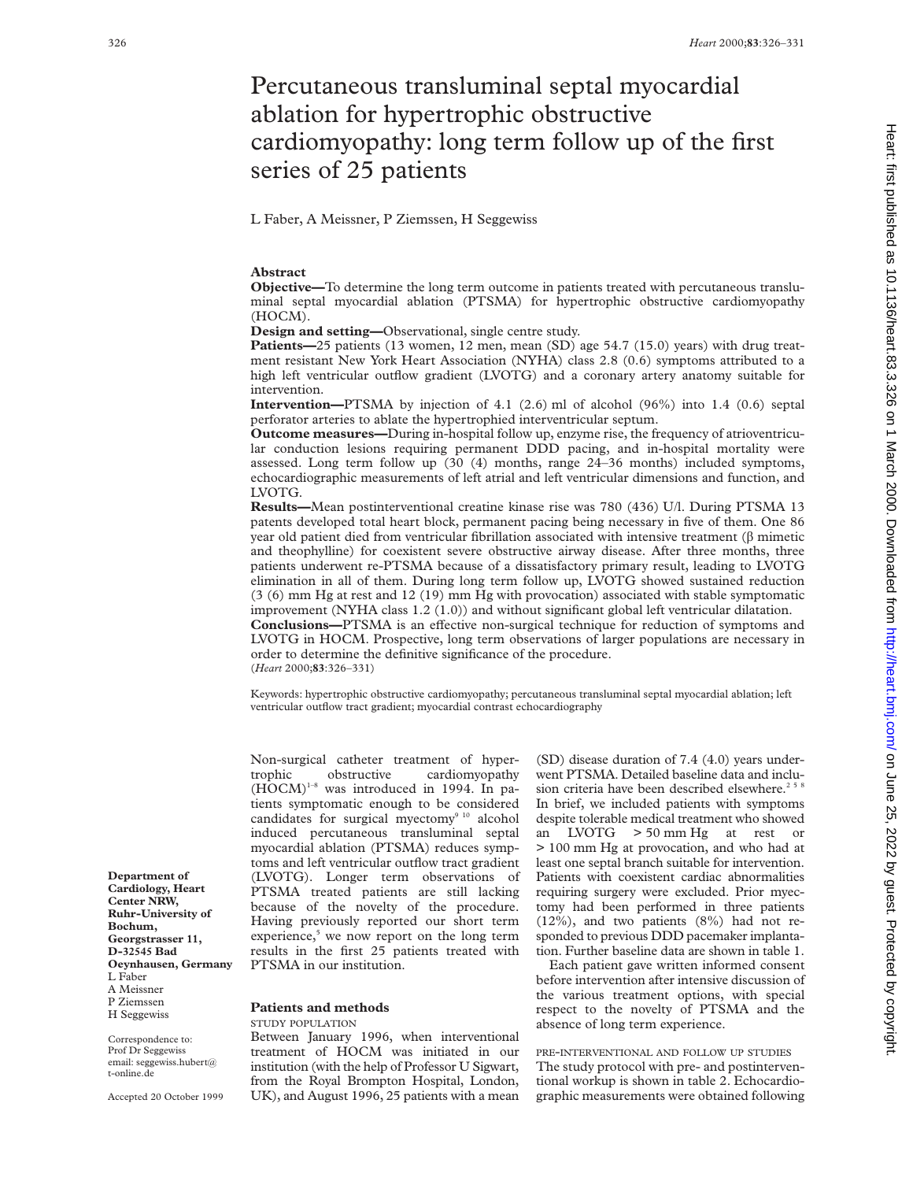# Percutaneous transluminal septal myocardial ablation for hypertrophic obstructive cardiomyopathy: long term follow up of the first series of 25 patients

L Faber, A Meissner, P Ziemssen, H Seggewiss

# **Abstract**

**Objective—**To determine the long term outcome in patients treated with percutaneous transluminal septal myocardial ablation (PTSMA) for hypertrophic obstructive cardiomyopathy (HOCM).

**Design and setting—**Observational, single centre study.

**Patients—**25 patients (13 women, 12 men, mean (SD) age 54.7 (15.0) years) with drug treatment resistant New York Heart Association (NYHA) class 2.8 (0.6) symptoms attributed to a high left ventricular outflow gradient (LVOTG) and a coronary artery anatomy suitable for intervention.

**Intervention—**PTSMA by injection of 4.1 (2.6) ml of alcohol (96%) into 1.4 (0.6) septal perforator arteries to ablate the hypertrophied interventricular septum.

**Outcome measures—**During in-hospital follow up, enzyme rise, the frequency of atrioventricular conduction lesions requiring permanent DDD pacing, and in-hospital mortality were assessed. Long term follow up (30 (4) months, range 24–36 months) included symptoms, echocardiographic measurements of left atrial and left ventricular dimensions and function, and LVOTG.

**Results—**Mean postinterventional creatine kinase rise was 780 (436) U/l. During PTSMA 13 patents developed total heart block, permanent pacing being necessary in five of them. One 86 year old patient died from ventricular fibrillation associated with intensive treatment  $(\beta$  mimetic and theophylline) for coexistent severe obstructive airway disease. After three months, three patients underwent re-PTSMA because of a dissatisfactory primary result, leading to LVOTG elimination in all of them. During long term follow up, LVOTG showed sustained reduction (3 (6) mm Hg at rest and 12 (19) mm Hg with provocation) associated with stable symptomatic improvement (NYHA class 1.2 (1.0)) and without significant global left ventricular dilatation. **Conclusions—PTSMA** is an effective non-surgical technique for reduction of symptoms and LVOTG in HOCM. Prospective, long term observations of larger populations are necessary in order to determine the definitive significance of the procedure.

(*Heart* 2000;**83**:326–331)

Keywords: hypertrophic obstructive cardiomyopathy; percutaneous transluminal septal myocardial ablation; left ventricular outflow tract gradient; myocardial contrast echocardiography

Non-surgical catheter treatment of hypertrophic obstructive cardiomyopathy  $(HOCM)^{1-8}$  was introduced in 1994. In patients symptomatic enough to be considered candidates for surgical myectomy $910$  alcohol induced percutaneous transluminal septal myocardial ablation (PTSMA) reduces symptoms and left ventricular outflow tract gradient (LVOTG). Longer term observations of PTSMA treated patients are still lacking because of the novelty of the procedure. Having previously reported our short term experience,<sup>5</sup> we now report on the long term results in the first 25 patients treated with PTSMA in our institution.

#### **Patients and methods** STUDY POPULATION

Between January 1996, when interventional treatment of HOCM was initiated in our institution (with the help of Professor U Sigwart, from the Royal Brompton Hospital, London, UK), and August 1996, 25 patients with a mean

(SD) disease duration of 7.4 (4.0) years underwent PTSMA. Detailed baseline data and inclusion criteria have been described elsewhere.<sup>25</sup> In brief, we included patients with symptoms despite tolerable medical treatment who showed an LVOTG > 50 mm Hg at rest or > 100 mm Hg at provocation, and who had at least one septal branch suitable for intervention. Patients with coexistent cardiac abnormalities requiring surgery were excluded. Prior myectomy had been performed in three patients (12%), and two patients (8%) had not responded to previous DDD pacemaker implantation. Further baseline data are shown in table 1.

Each patient gave written informed consent before intervention after intensive discussion of the various treatment options, with special respect to the novelty of PTSMA and the absence of long term experience.

PRE-INTERVENTIONAL AND FOLLOW UP STUDIES The study protocol with pre- and postinterventional workup is shown in table 2. Echocardiographic measurements were obtained following

**Department of Cardiology, Heart Center NRW, Ruhr-University of Bochum, Georgstrasser 11, D-32545 Bad Oeynhausen, Germany** L Faber A Meissner P Ziemssen H Seggewiss

Correspondence to: Prof Dr Seggewiss email: seggewiss.hubert@ t-online.de

Accepted 20 October 1999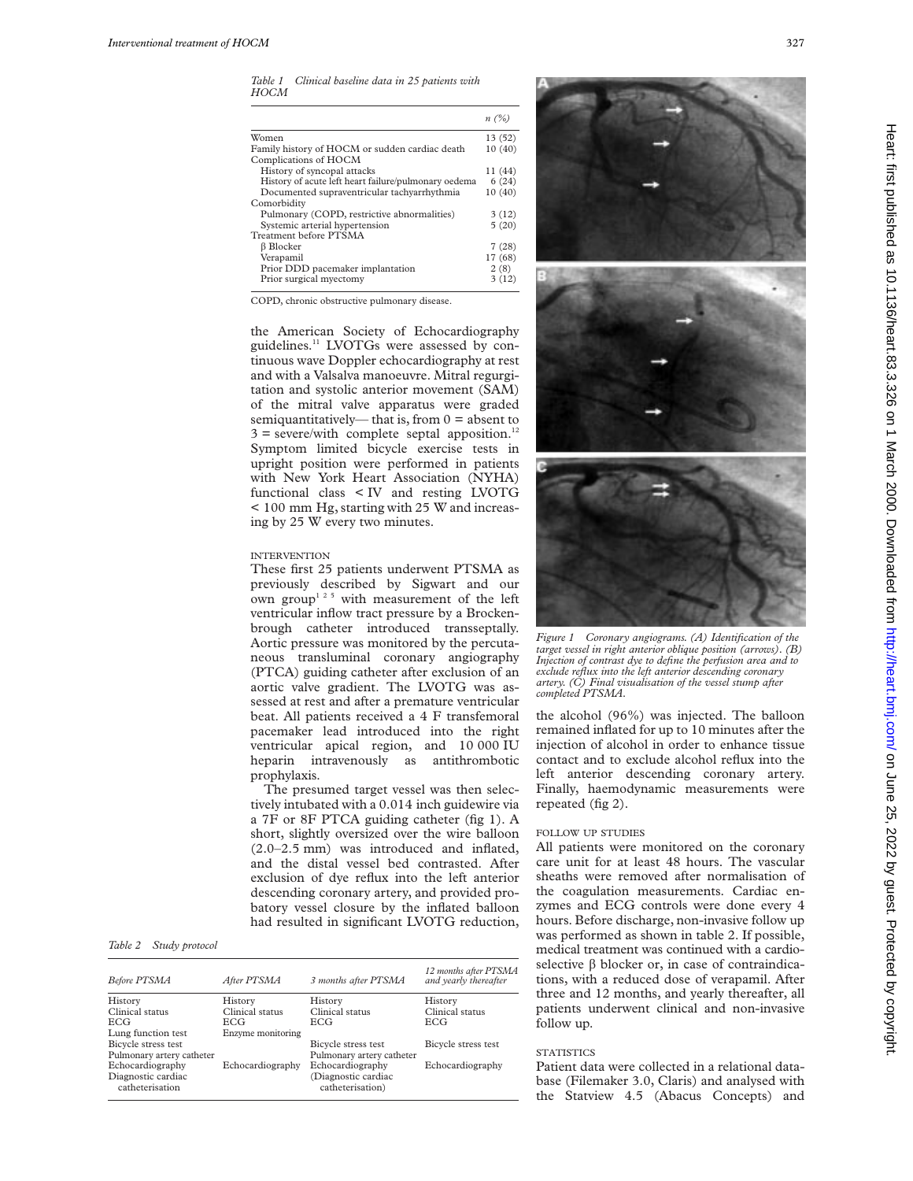*Table 1 Clinical baseline data in 25 patients with HOCM*

|                                                      | n(%)    |
|------------------------------------------------------|---------|
| Women                                                | 13 (52) |
| Family history of HOCM or sudden cardiac death       | 10(40)  |
| Complications of HOCM                                |         |
| History of syncopal attacks                          | 11 (44) |
| History of acute left heart failure/pulmonary oedema | 6(24)   |
| Documented supraventricular tachyarrhythmia          | 10(40)  |
| Comorbidity                                          |         |
| Pulmonary (COPD, restrictive abnormalities)          | 3(12)   |
| Systemic arterial hypertension                       | 5(20)   |
| Treatment before PTSMA                               |         |
| $\beta$ Blocker                                      | 7(28)   |
| Verapamil                                            | 17 (68) |
| Prior DDD pacemaker implantation                     | 2(8)    |
| Prior surgical myectomy                              | 3(12)   |

COPD, chronic obstructive pulmonary disease.

the American Society of Echocardiography guidelines.<sup>11</sup> LVOTGs were assessed by continuous wave Doppler echocardiography at rest and with a Valsalva manoeuvre. Mitral regurgitation and systolic anterior movement (SAM) of the mitral valve apparatus were graded semiquantitatively— that is, from  $0 =$  absent to  $3 =$  severe/with complete septal apposition.<sup>12</sup> Symptom limited bicycle exercise tests in upright position were performed in patients with New York Heart Association (NYHA) functional class < IV and resting LVOTG < 100 mm Hg, starting with 25 W and increasing by 25 W every two minutes.

# INTERVENTION

These first 25 patients underwent PTSMA as previously described by Sigwart and our own group<sup>125</sup> with measurement of the left ventricular inflow tract pressure by a Brockenbrough catheter introduced transseptally. Aortic pressure was monitored by the percutaneous transluminal coronary angiography (PTCA) guiding catheter after exclusion of an aortic valve gradient. The LVOTG was assessed at rest and after a premature ventricular beat. All patients received a 4 F transfemoral pacemaker lead introduced into the right ventricular apical region, and 10 000 IU heparin intravenously as antithrombotic prophylaxis.

The presumed target vessel was then selectively intubated with a 0.014 inch guidewire via a 7F or 8F PTCA guiding catheter (fig 1). A short, slightly oversized over the wire balloon (2.0–2.5 mm) was introduced and inflated, and the distal vessel bed contrasted. After exclusion of dye reflux into the left anterior descending coronary artery, and provided probatory vessel closure by the inflated balloon had resulted in significant LVOTG reduction,

# *Table 2 Study protocol*

| Before PTSMA              | After PTSMA       | 3 months after PTSMA      | 12 months after PTSMA<br>and yearly thereafter |
|---------------------------|-------------------|---------------------------|------------------------------------------------|
| History                   | History           | History                   | History                                        |
| Clinical status           | Clinical status   | Clinical status           | Clinical status                                |
| <b>ECG</b>                | ECG.              | <b>ECG</b>                | <b>ECG</b>                                     |
| Lung function test        | Enzyme monitoring |                           |                                                |
| Bicycle stress test       |                   | Bicycle stress test       | Bicycle stress test                            |
| Pulmonary artery catheter |                   | Pulmonary artery catheter |                                                |
| Echocardiography          | Echocardiography  | Echocardiography          | Echocardiography                               |
| Diagnostic cardiac        |                   | (Diagnostic cardiac       |                                                |
| catheterisation           |                   | catheterisation)          |                                                |







*Figure 1 Coronary angiograms. (A) Identification of the target vessel in right anterior oblique position (arrows). (B) Injection of contrast dye to define the perfusion area and to exclude reflux into the left anterior descending coronary artery. (C) Final visualisation of the vessel stump after completed PTSMA.*

the alcohol (96%) was injected. The balloon remained inflated for up to 10 minutes after the injection of alcohol in order to enhance tissue contact and to exclude alcohol reflux into the left anterior descending coronary artery. Finally, haemodynamic measurements were repeated (fig 2).

# FOLLOW UP STUDIES

All patients were monitored on the coronary care unit for at least 48 hours. The vascular sheaths were removed after normalisation of the coagulation measurements. Cardiac enzymes and ECG controls were done every 4 hours. Before discharge, non-invasive follow up was performed as shown in table 2. If possible, medical treatment was continued with a cardioselective  $\beta$  blocker or, in case of contraindications, with a reduced dose of verapamil. After three and 12 months, and yearly thereafter, all patients underwent clinical and non-invasive follow up.

## **STATISTICS**

Patient data were collected in a relational database (Filemaker 3.0, Claris) and analysed with the Statview 4.5 (Abacus Concepts) and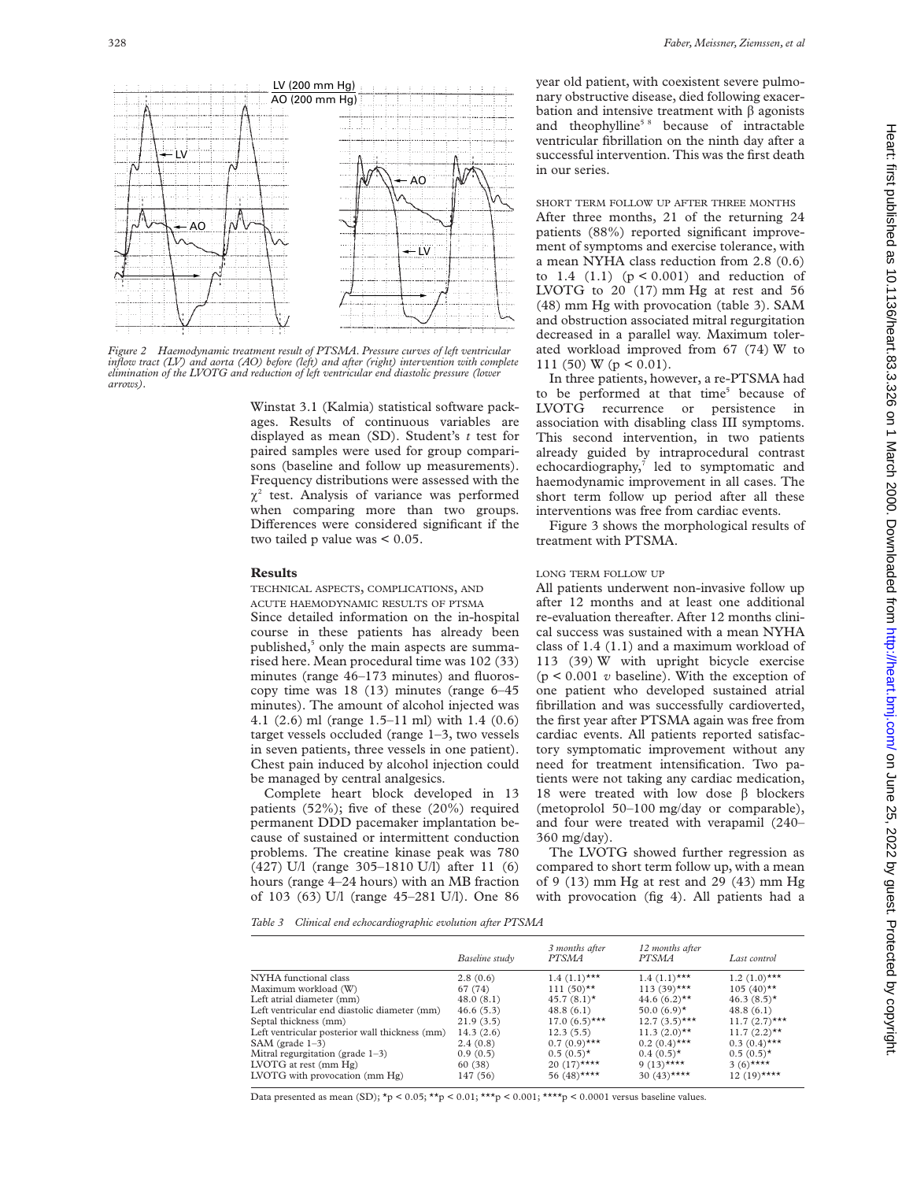

*Figure 2 Haemodynamic treatment result of PTSMA. Pressure curves of left ventricular inflow tract (LV) and aorta (AO) before (left) and after (right) intervention with complete elimination of the LVOTG and reduction of left ventricular end diastolic pressure (lower arrows).*

Winstat 3.1 (Kalmia) statistical software packages. Results of continuous variables are displayed as mean (SD). Student's *t* test for paired samples were used for group comparisons (baseline and follow up measurements). Frequency distributions were assessed with the  $\chi^2$  test. Analysis of variance was performed when comparing more than two groups. Differences were considered significant if the two tailed p value was < 0.05.

#### **Results**

TECHNICAL ASPECTS, COMPLICATIONS, AND

ACUTE HAEMODYNAMIC RESULTS OF PTSMA Since detailed information on the in-hospital course in these patients has already been published,<sup>5</sup> only the main aspects are summarised here. Mean procedural time was 102 (33) minutes (range 46–173 minutes) and fluoroscopy time was 18 (13) minutes (range 6–45 minutes). The amount of alcohol injected was 4.1 (2.6) ml (range 1.5–11 ml) with 1.4 (0.6) target vessels occluded (range 1–3, two vessels in seven patients, three vessels in one patient). Chest pain induced by alcohol injection could be managed by central analgesics.

Complete heart block developed in 13 patients (52%); five of these (20%) required permanent DDD pacemaker implantation because of sustained or intermittent conduction problems. The creatine kinase peak was 780 (427) U/l (range 305–1810 U/l) after 11 (6) hours (range 4–24 hours) with an MB fraction of 103 (63) U/l (range 45–281 U/l). One 86

year old patient, with coexistent severe pulmonary obstructive disease, died following exacerbation and intensive treatment with  $\beta$  agonists and theophylline<sup>58</sup> because of intractable ventricular fibrillation on the ninth day after a successful intervention. This was the first death in our series.

SHORT TERM FOLLOW UP AFTER THREE MONTHS After three months, 21 of the returning 24 patients (88%) reported significant improvement of symptoms and exercise tolerance, with a mean NYHA class reduction from 2.8 (0.6) to  $1.4$   $(1.1)$   $(p < 0.001)$  and reduction of LVOTG to 20 (17) mm Hg at rest and 56 (48) mm Hg with provocation (table 3). SAM and obstruction associated mitral regurgitation decreased in a parallel way. Maximum tolerated workload improved from 67 (74) W to 111 (50) W ( $p < 0.01$ ).

In three patients, however, a re-PTSMA had to be performed at that time<sup>5</sup> because of LVOTG recurrence or persistence in association with disabling class III symptoms. This second intervention, in two patients already guided by intraprocedural contrast echocardiography,<sup>7</sup> led to symptomatic and haemodynamic improvement in all cases. The short term follow up period after all these interventions was free from cardiac events.

Figure 3 shows the morphological results of treatment with PTSMA.

#### LONG TERM FOLLOW UP

All patients underwent non-invasive follow up after 12 months and at least one additional re-evaluation thereafter. After 12 months clinical success was sustained with a mean NYHA class of 1.4 (1.1) and a maximum workload of 113 (39) W with upright bicycle exercise  $(p < 0.001$  *v* baseline). With the exception of one patient who developed sustained atrial fibrillation and was successfully cardioverted, the first year after PTSMA again was free from cardiac events. All patients reported satisfactory symptomatic improvement without any need for treatment intensification. Two patients were not taking any cardiac medication, 18 were treated with low dose  $\beta$  blockers (metoprolol 50–100 mg/day or comparable), and four were treated with verapamil (240– 360 mg/day).

The LVOTG showed further regression as compared to short term follow up, with a mean of 9 (13) mm Hg at rest and 29 (43) mm Hg with provocation (fig 4). All patients had a

*Table 3 Clinical end echocardiographic evolution after PTSMA*

|                                                | Baseline study | 3 months after<br><i>PTSMA</i> | 12 months after<br><b>PTSMA</b> | Last control    |
|------------------------------------------------|----------------|--------------------------------|---------------------------------|-----------------|
| NYHA functional class                          | 2.8(0.6)       | $1.4(1.1)***$                  | $1.4(1.1)***$                   | $1.2(1.0)$ ***  |
| Maximum workload (W)                           | 67 (74)        | $111(50)$ **                   | $113(39)$ ***                   | $105 (40)$ **   |
| Left atrial diameter (mm)                      | 48.0(8.1)      | $45.7(8.1)$ *                  | 44.6 $(6.2)$ <sup>**</sup>      | $46.3(8.5)$ *   |
| Left ventricular end diastolic diameter (mm)   | 46.6(5.3)      | 48.8(6.1)                      | 50.0 $(6.9)$ *                  | 48.8(6.1)       |
| Septal thickness (mm)                          | 21.9(3.5)      | $17.0(6.5)$ ***                | $12.7(3.5)$ ***                 | $11.7(2.7)$ *** |
| Left ventricular posterior wall thickness (mm) | 14.3(2.6)      | 12.3(5.5)                      | $11.3 (2.0)$ **                 | $11.7 (2.2)$ ** |
| SAM (grade $1-3$ )                             | 2.4(0.8)       | $0.7(0.9)$ ***                 | $0.2(0.4)$ ***                  | $0.3(0.4)$ ***  |
| Mitral regurgitation (grade $1-3$ )            | 0.9(0.5)       | $0.5(0.5)^*$                   | $0.4(0.5)$ *                    | $0.5(0.5)^*$    |
| LVOTG at rest $(nm Hg)$                        | 60 (38)        | $20(17)$ ****                  | $9(13)***$                      | 3 $(6)$ ****    |
| LVOTG with provocation $(mm Hg)$               | 147 (56)       | 56 (48)****                    | 30 $(43)$ ****                  | $12(19)$ ****   |

Data presented as mean (SD);  $*_p$  < 0.05;  $**_p$  < 0.01;  $***_p$  < 0.001;  $***_p$  < 0.0001 versus baseline values.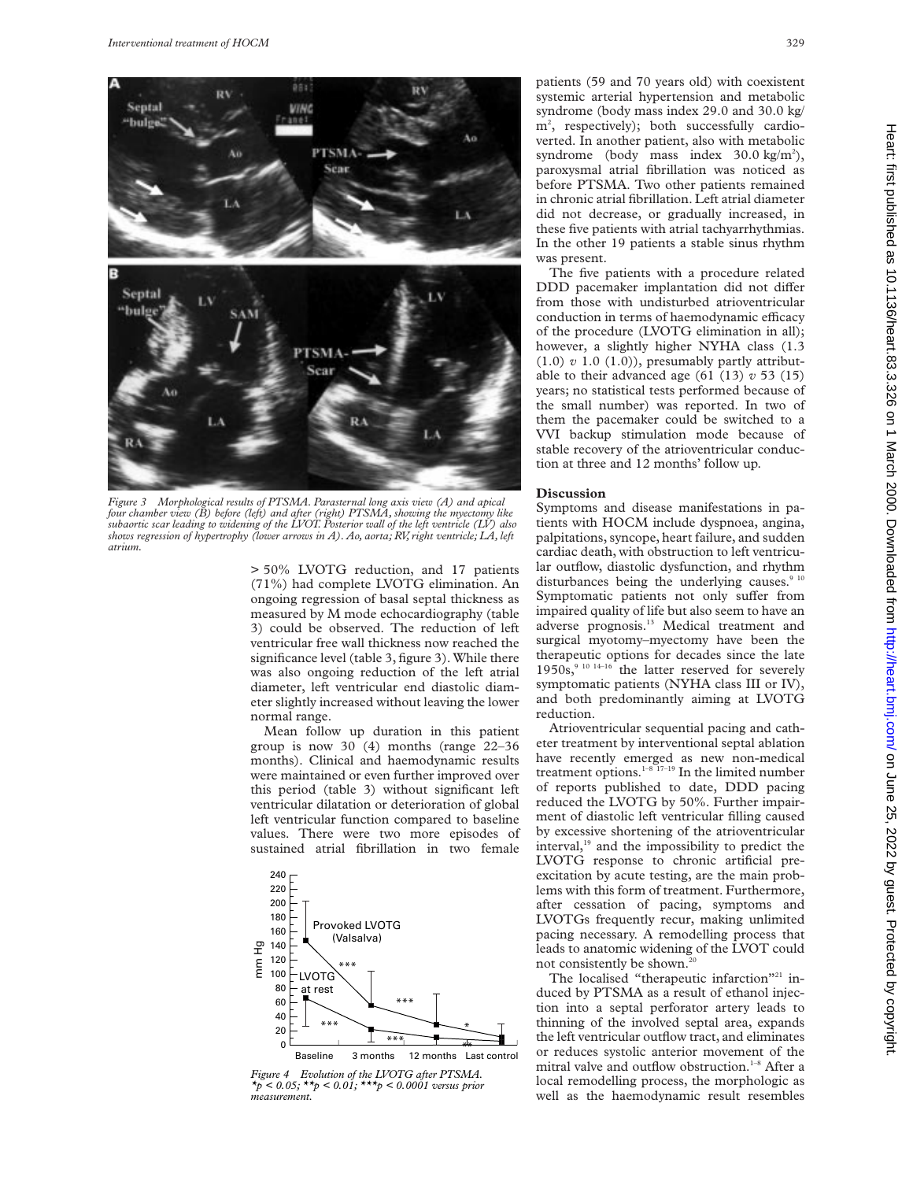

*Figure 3 Morphological results of PTSMA. Parasternal long axis view (A) and apical four chamber view (B) before (left) and after (right) PTSMA, showing the myectomy like subaortic scar leading to widening of the LVOT. Posterior wall of the left ventricle (LV) also shows regression of hypertrophy (lower arrows in A). Ao, aorta; RV, right ventricle; LA, left atrium.*

> 50% LVOTG reduction, and 17 patients (71%) had complete LVOTG elimination. An ongoing regression of basal septal thickness as measured by M mode echocardiography (table 3) could be observed. The reduction of left ventricular free wall thickness now reached the significance level (table 3, figure 3). While there was also ongoing reduction of the left atrial diameter, left ventricular end diastolic diameter slightly increased without leaving the lower normal range.

Mean follow up duration in this patient group is now 30 (4) months (range 22–36 months). Clinical and haemodynamic results were maintained or even further improved over this period (table 3) without significant left ventricular dilatation or deterioration of global left ventricular function compared to baseline values. There were two more episodes of sustained atrial fibrillation in two female



*Figure 4 Evolution of the LVOTG after PTSMA. \*p < 0.05; \*\*p < 0.01; \*\*\*p < 0.0001 versus prior measurement.*

patients (59 and 70 years old) with coexistent systemic arterial hypertension and metabolic syndrome (body mass index 29.0 and 30.0 kg/ m2 , respectively); both successfully cardioverted. In another patient, also with metabolic syndrome (body mass index  $30.0 \text{ kg/m}^2$ ), paroxysmal atrial fibrillation was noticed as before PTSMA. Two other patients remained in chronic atrial fibrillation. Left atrial diameter did not decrease, or gradually increased, in these five patients with atrial tachyarrhythmias. In the other 19 patients a stable sinus rhythm was present.

The five patients with a procedure related DDD pacemaker implantation did not differ from those with undisturbed atrioventricular conduction in terms of haemodynamic efficacy of the procedure (LVOTG elimination in all); however, a slightly higher NYHA class (1.3  $(1.0)$   $v$  1.0  $(1.0)$ , presumably partly attributable to their advanced age  $(61 (13) v 53 (15)$ years; no statistical tests performed because of the small number) was reported. In two of them the pacemaker could be switched to a VVI backup stimulation mode because of stable recovery of the atrioventricular conduction at three and 12 months' follow up.

#### **Discussion**

Symptoms and disease manifestations in patients with HOCM include dyspnoea, angina, palpitations, syncope, heart failure, and sudden cardiac death, with obstruction to left ventricular outflow, diastolic dysfunction, and rhythm disturbances being the underlying causes.<sup>9 10</sup> Symptomatic patients not only suffer from impaired quality of life but also seem to have an adverse prognosis.13 Medical treatment and surgical myotomy–myectomy have been the therapeutic options for decades since the late  $1950s$ ,<sup>9 10 14–16</sup> the latter reserved for severely symptomatic patients (NYHA class III or IV), and both predominantly aiming at LVOTG reduction.

Atrioventricular sequential pacing and catheter treatment by interventional septal ablation have recently emerged as new non-medical treatment options. $1-8$ <sup>17-19</sup> In the limited number of reports published to date, DDD pacing reduced the LVOTG by 50%. Further impairment of diastolic left ventricular filling caused by excessive shortening of the atrioventricular interval,<sup>19</sup> and the impossibility to predict the LVOTG response to chronic artificial preexcitation by acute testing, are the main problems with this form of treatment. Furthermore, after cessation of pacing, symptoms and LVOTGs frequently recur, making unlimited pacing necessary. A remodelling process that leads to anatomic widening of the LVOT could not consistently be shown.<sup>20</sup>

The localised "therapeutic infarction"<sup>21</sup> induced by PTSMA as a result of ethanol injection into a septal perforator artery leads to thinning of the involved septal area, expands the left ventricular outflow tract, and eliminates or reduces systolic anterior movement of the mitral valve and outflow obstruction.<sup>1-8</sup> After a local remodelling process, the morphologic as well as the haemodynamic result resembles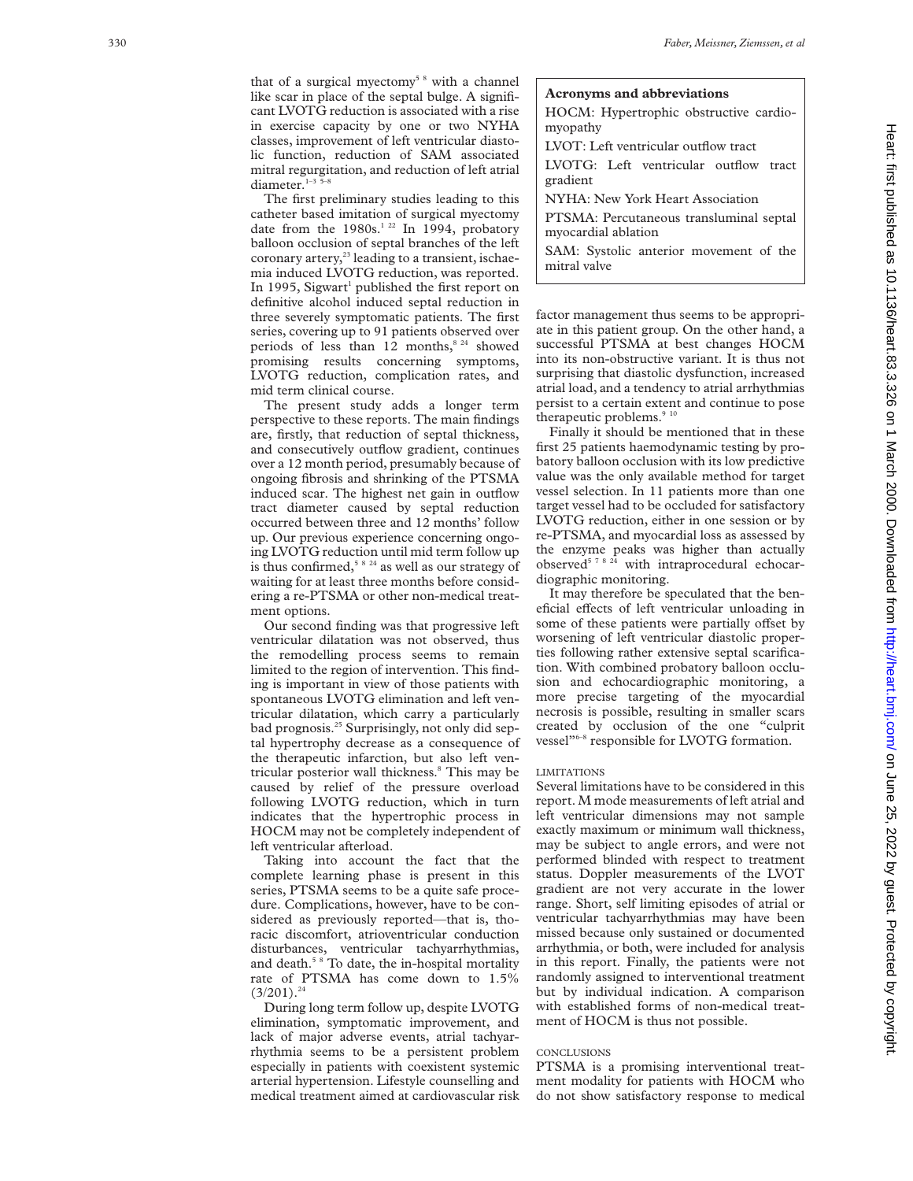that of a surgical myectomy<sup>58</sup> with a channel like scar in place of the septal bulge. A significant LVOTG reduction is associated with a rise in exercise capacity by one or two NYHA classes, improvement of left ventricular diastolic function, reduction of SAM associated mitral regurgitation, and reduction of left atrial diameter. $1-3$ 

The first preliminary studies leading to this catheter based imitation of surgical myectomy date from the  $1980s^{122}$  In 1994, probatory balloon occlusion of septal branches of the left coronary artery,<sup>23</sup> leading to a transient, ischaemia induced LVOTG reduction, was reported. In 1995, Sigwart<sup>1</sup> published the first report on definitive alcohol induced septal reduction in three severely symptomatic patients. The first series, covering up to 91 patients observed over periods of less than 12 months, $8^{24}$  showed promising results concerning symptoms, LVOTG reduction, complication rates, and mid term clinical course.

The present study adds a longer term perspective to these reports. The main findings are, firstly, that reduction of septal thickness, and consecutively outflow gradient, continues over a 12 month period, presumably because of ongoing fibrosis and shrinking of the PTSMA induced scar. The highest net gain in outflow tract diameter caused by septal reduction occurred between three and 12 months' follow up. Our previous experience concerning ongoing LVOTG reduction until mid term follow up is thus confirmed,<sup>5824</sup> as well as our strategy of waiting for at least three months before considering a re-PTSMA or other non-medical treatment options.

Our second finding was that progressive left ventricular dilatation was not observed, thus the remodelling process seems to remain limited to the region of intervention. This finding is important in view of those patients with spontaneous LVOTG elimination and left ventricular dilatation, which carry a particularly bad prognosis.<sup>25</sup> Surprisingly, not only did septal hypertrophy decrease as a consequence of the therapeutic infarction, but also left ventricular posterior wall thickness.<sup>8</sup> This may be caused by relief of the pressure overload following LVOTG reduction, which in turn indicates that the hypertrophic process in HOCM may not be completely independent of left ventricular afterload.

Taking into account the fact that the complete learning phase is present in this series, PTSMA seems to be a quite safe procedure. Complications, however, have to be considered as previously reported—that is, thoracic discomfort, atrioventricular conduction disturbances, ventricular tachyarrhythmias, and death.5 8 To date, the in-hospital mortality rate of PTSMA has come down to 1.5%  $(3/201).^{24}$ 

During long term follow up, despite LVOTG elimination, symptomatic improvement, and lack of major adverse events, atrial tachyarrhythmia seems to be a persistent problem especially in patients with coexistent systemic arterial hypertension. Lifestyle counselling and medical treatment aimed at cardiovascular risk

## **Acronyms and abbreviations**

HOCM: Hypertrophic obstructive cardiomyopathy

LVOT: Left ventricular outflow tract

LVOTG: Left ventricular outflow tract gradient

NYHA: New York Heart Association

PTSMA: Percutaneous transluminal septal myocardial ablation

SAM: Systolic anterior movement of the mitral valve

factor management thus seems to be appropriate in this patient group. On the other hand, a successful PTSMA at best changes HOCM into its non-obstructive variant. It is thus not surprising that diastolic dysfunction, increased atrial load, and a tendency to atrial arrhythmias persist to a certain extent and continue to pose therapeutic problems. $910$ 

Finally it should be mentioned that in these first 25 patients haemodynamic testing by probatory balloon occlusion with its low predictive value was the only available method for target vessel selection. In 11 patients more than one target vessel had to be occluded for satisfactory LVOTG reduction, either in one session or by re-PTSMA, and myocardial loss as assessed by the enzyme peaks was higher than actually observed<sup>5 7 8 24</sup> with intraprocedural echocardiographic monitoring.

It may therefore be speculated that the beneficial effects of left ventricular unloading in some of these patients were partially offset by worsening of left ventricular diastolic properties following rather extensive septal scarification. With combined probatory balloon occlusion and echocardiographic monitoring, a more precise targeting of the myocardial necrosis is possible, resulting in smaller scars created by occlusion of the one "culprit vessel"6–8 responsible for LVOTG formation.

## LIMITATIONS

Several limitations have to be considered in this report. M mode measurements of left atrial and left ventricular dimensions may not sample exactly maximum or minimum wall thickness, may be subject to angle errors, and were not performed blinded with respect to treatment status. Doppler measurements of the LVOT gradient are not very accurate in the lower range. Short, self limiting episodes of atrial or ventricular tachyarrhythmias may have been missed because only sustained or documented arrhythmia, or both, were included for analysis in this report. Finally, the patients were not randomly assigned to interventional treatment but by individual indication. A comparison with established forms of non-medical treatment of HOCM is thus not possible.

# **CONCLUSIONS**

PTSMA is a promising interventional treatment modality for patients with HOCM who do not show satisfactory response to medical